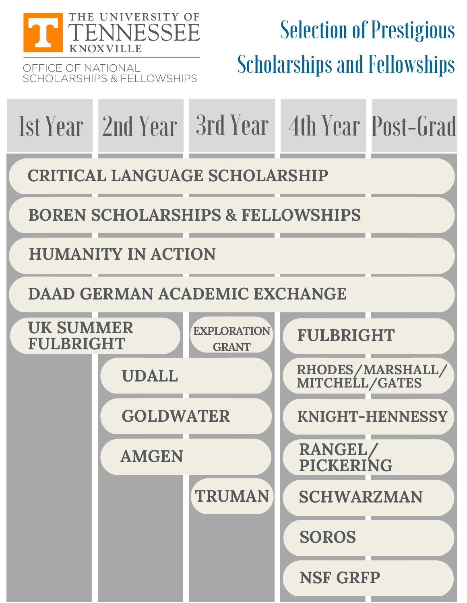

OFFICE OF NATIONAL SCHOLARSHIPS & FELLOWSHIPS

# **Selection of Prestigious** Scholarships and Fellowships